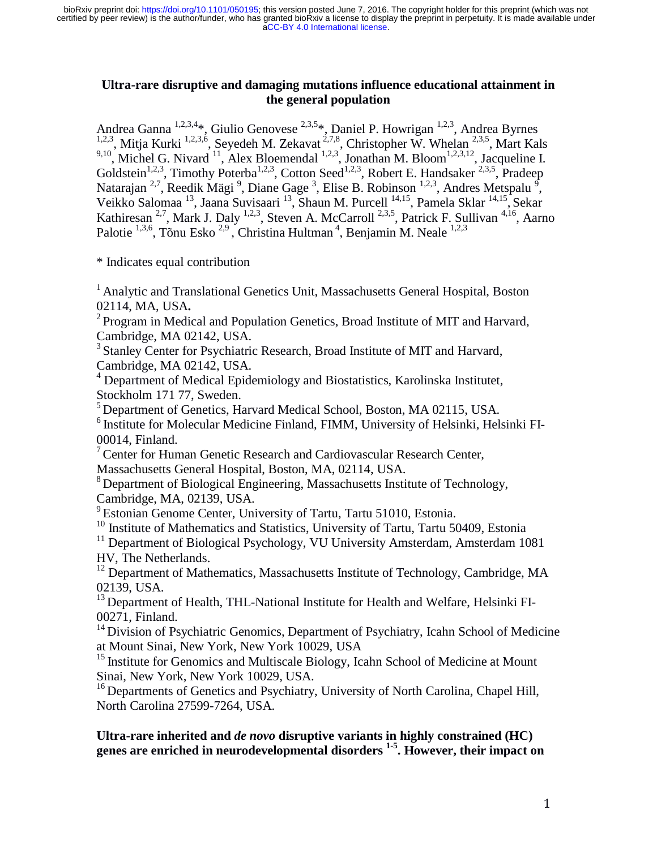## **Ultra-rare disruptive and damaging mutations influence educational attainment in the general population**

Andrea Ganna <sup>1,2,3,4</sup>\*, Giulio Genovese <sup>2,3,5</sup>\*, Daniel P. Howrigan <sup>1,2,3</sup>, Andrea Byrnes <sup>1,2,3</sup>, Mitja Kurki <sup>1,2,3,6</sup>, Seyedeh M. Zekavat<sup>2,7,8</sup>, Christopher W. Whelan <sup>2,3,5</sup>, Mart Kals <sup>9,10</sup>, Michel G. Nivard <sup>11</sup>, Alex Bloemendal <sup>1,2,3</sup>, Jonathan M. Bloom<sup>1,2,3,12</sup>, Jacqueline I. Goldstein<sup>1,2,3</sup>, Timothy Poterba<sup>1,2,3</sup>, Cotton Seed<sup>1,2,3</sup>, Robert E. Handsaker<sup>2,3,5</sup>, Pradeep Natarajan <sup>2,7</sup>, Reedik Mägi <sup>9</sup>, Diane Gage <sup>3</sup>, Elise B. Robinson <sup>1,2,3</sup>, Andres Metspalu <sup>9</sup>, Veikko Salomaa<sup>13</sup>, Jaana Suvisaari<sup>13</sup>, Shaun M. Purcell <sup>14,15</sup>, Pamela Sklar <sup>14,15</sup>, Sekar Kathiresan <sup>2,7</sup>, Mark J. Daly <sup>1,2,3</sup>, Steven A. McCarroll <sup>2,3,5</sup>, Patrick F. Sullivan <sup>4,16</sup>, Aarno Palotie  $^{1,3,6}$ , Tõnu Esko  $^{2,9}$ , Christina Hultman<sup>4</sup>, Benjamin M. Neale  $^{1,2,3}$ 

\* Indicates equal contribution

 $<sup>1</sup>$  Analytic and Translational Genetics Unit, Massachusetts General Hospital, Boston</sup> 02114, MA, USA.<br><sup>2</sup> Program in Medical and Population Genetics, Broad Institute of MIT and Harvard,

Cambridge, MA 02142, USA.

<sup>3</sup> Stanley Center for Psychiatric Research, Broad Institute of MIT and Harvard, Cambridge, MA 02142, USA.

<sup>4</sup> Department of Medical Epidemiology and Biostatistics, Karolinska Institutet, Stockholm 171 77, Sweden.

5 Department of Genetics, Harvard Medical School, Boston, MA 02115, USA.

 $6$  Institute for Molecular Medicine Finland, FIMM, University of Helsinki, Helsinki FI-00014, Finland.

7 Center for Human Genetic Research and Cardiovascular Research Center, Massachusetts General Hospital, Boston, MA, 02114, USA.

<sup>8</sup> Department of Biological Engineering, Massachusetts Institute of Technology, Cambridge, MA, 02139, USA.

<sup>9</sup> Estonian Genome Center, University of Tartu, Tartu 51010, Estonia.

 $10$  Institute of Mathematics and Statistics, University of Tartu, Tartu 50409, Estonia

<sup>11</sup> Department of Biological Psychology, VU University Amsterdam, Amsterdam 1081 HV, The Netherlands.

 $12$  Department of Mathematics, Massachusetts Institute of Technology, Cambridge, MA 02139, USA.

 $^{13}$  Department of Health, THL-National Institute for Health and Welfare, Helsinki FI-00271, Finland.

<sup>14</sup> Division of Psychiatric Genomics, Department of Psychiatry, Icahn School of Medicine at Mount Sinai, New York, New York 10029, USA<br><sup>15</sup> Institute for Genomics and Multiscale Biology, Icahn School of Medicine at Mount

Sinai, New York, New York 10029, USA.<br><sup>16</sup> Departments of Genetics and Psychiatry, University of North Carolina, Chapel Hill,

North Carolina 27599-7264, USA.

# **Ultra-rare inherited and** *de novo* **disruptive variants in highly constrained (HC) genes are enriched in neurodevelopmental disorders 1-5. However, their impact on**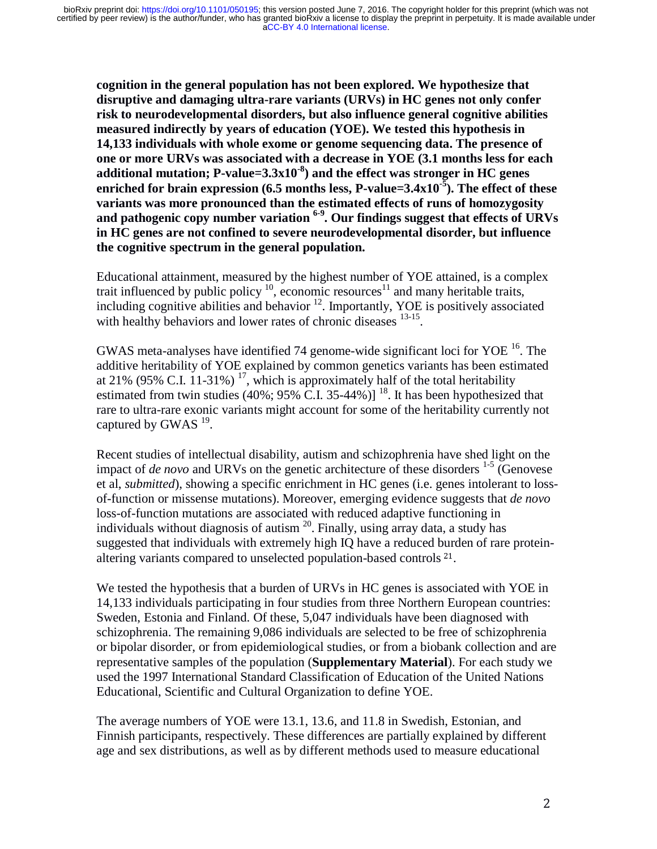**cognition in the general population has not been explored. We hypothesize that disruptive and damaging ultra-rare variants (URVs) in HC genes not only confer risk to neurodevelopmental disorders, but also influence general cognitive abilities measured indirectly by years of education (YOE). We tested this hypothesis in 14,133 individuals with whole exome or genome sequencing data. The presence of one or more URVs was associated with a decrease in YOE (3.1 months less for each additional mutation; P-value=3.3x10-8) and the effect was stronger in HC genes enriched for brain expression (6.5 months less, P-value=3.4x10-5). The effect of these variants was more pronounced than the estimated effects of runs of homozygosity and pathogenic copy number variation 6-9. Our findings suggest that effects of URVs in HC genes are not confined to severe neurodevelopmental disorder, but influence the cognitive spectrum in the general population.**

Educational attainment, measured by the highest number of YOE attained, is a complex trait influenced by public policy  $10$ , economic resources<sup>11</sup> and many heritable traits, including cognitive abilities and behavior  $^{12}$ . Importantly, YOE is positively associated with healthy behaviors and lower rates of chronic diseases <sup>13-15</sup>.

GWAS meta-analyses have identified 74 genome-wide significant loci for YOE 16. The additive heritability of YOE explained by common genetics variants has been estimated at 21% (95% C.I. 11-31%)<sup>17</sup>, which is approximately half of the total heritability estimated from twin studies  $(40\%; 95\% \tilde{C}$ . I. 35-44%)]<sup>18</sup>. It has been hypothesized that rare to ultra-rare exonic variants might account for some of the heritability currently not captured by GWAS  $^{19}$ .

Recent studies of intellectual disability, autism and schizophrenia have shed light on the impact of *de novo* and URVs on the genetic architecture of these disorders  $1-5$  (Genovese et al, *submitted*), showing a specific enrichment in HC genes (i.e. genes intolerant to lossof-function or missense mutations). Moreover, emerging evidence suggests that *de novo*  loss-of-function mutations are associated with reduced adaptive functioning in individuals without diagnosis of autism  $^{20}$ . Finally, using array data, a study has suggested that individuals with extremely high IQ have a reduced burden of rare proteinaltering variants compared to unselected population-based controls 21.

 We tested the hypothesis that a burden of URVs in HC genes is associated with YOE in 14,133 individuals participating in four studies from three Northern European countries: Sweden, Estonia and Finland. Of these, 5,047 individuals have been diagnosed with schizophrenia. The remaining 9,086 individuals are selected to be free of schizophrenia or bipolar disorder, or from epidemiological studies, or from a biobank collection and are representative samples of the population (**Supplementary Material**). For each study we used the 1997 International Standard Classification of Education of the United Nations Educational, Scientific and Cultural Organization to define YOE.

The average numbers of YOE were 13.1, 13.6, and 11.8 in Swedish, Estonian, and Finnish participants, respectively. These differences are partially explained by different age and sex distributions, as well as by different methods used to measure educational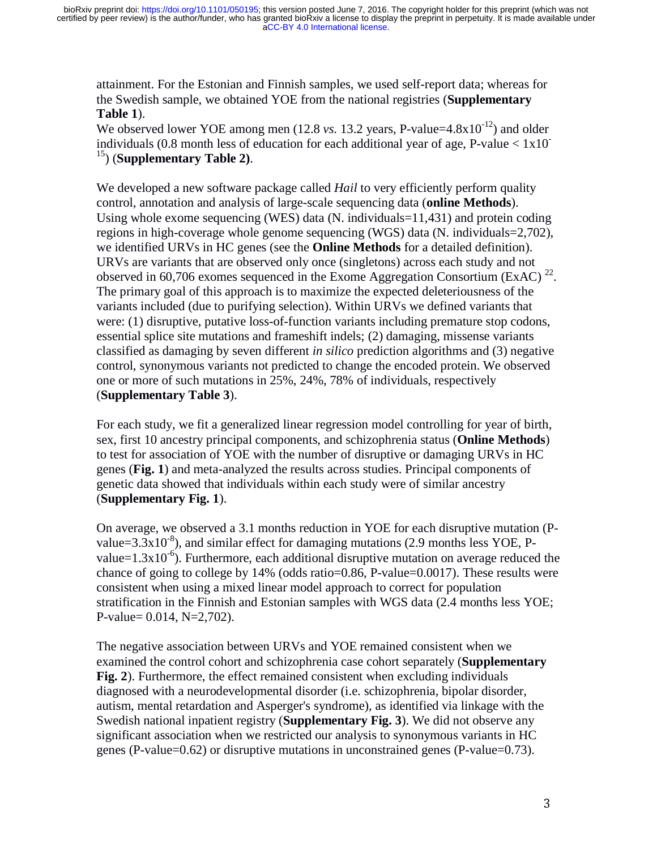attainment. For the Estonian and Finnish samples, we used self-report data; whereas for the Swedish sample, we obtained YOE from the national registries (**Supplementary Table 1**).

We observed lower YOE among men  $(12.8 \text{ vs. } 13.2 \text{ years}, P-value=4.8x10^{-12})$  and older individuals (0.8 month less of education for each additional year of age, P-value  $< 1x10^{-1}$ 15) (**Supplementary Table 2)**.

We developed a new software package called *Hail* to very efficiently perform quality control, annotation and analysis of large-scale sequencing data (**online Methods**). Using whole exome sequencing (WES) data (N. individuals=11,431) and protein coding regions in high-coverage whole genome sequencing (WGS) data (N. individuals=2,702), we identified URVs in HC genes (see the **Online Methods** for a detailed definition). URVs are variants that are observed only once (singletons) across each study and not observed in 60,706 exomes sequenced in the Exome Aggregation Consortium (ExAC)  $^{22}$ . The primary goal of this approach is to maximize the expected deleteriousness of the variants included (due to purifying selection). Within URVs we defined variants that were: (1) disruptive, putative loss-of-function variants including premature stop codons, essential splice site mutations and frameshift indels; (2) damaging, missense variants classified as damaging by seven different *in silico* prediction algorithms and (3) negative control, synonymous variants not predicted to change the encoded protein. We observed one or more of such mutations in 25%, 24%, 78% of individuals, respectively (**Supplementary Table 3**).

For each study, we fit a generalized linear regression model controlling for year of birth, sex, first 10 ancestry principal components, and schizophrenia status (**Online Methods**) to test for association of YOE with the number of disruptive or damaging URVs in HC genes (**Fig. 1**) and meta-analyzed the results across studies. Principal components of genetic data showed that individuals within each study were of similar ancestry (**Supplementary Fig. 1**).

On average, we observed a 3.1 months reduction in YOE for each disruptive mutation (Pvalue=3.3x10<sup>-8</sup>), and similar effect for damaging mutations (2.9 months less YOE, Pvalue= $1.3x10^{-6}$ ). Furthermore, each additional disruptive mutation on average reduced the chance of going to college by  $14\%$  (odds ratio=0.86, P-value=0.0017). These results were consistent when using a mixed linear model approach to correct for population stratification in the Finnish and Estonian samples with WGS data (2.4 months less YOE; P-value= 0.014, N=2,702).

The negative association between URVs and YOE remained consistent when we examined the control cohort and schizophrenia case cohort separately (**Supplementary Fig. 2**). Furthermore, the effect remained consistent when excluding individuals diagnosed with a neurodevelopmental disorder (i.e. schizophrenia, bipolar disorder, autism, mental retardation and Asperger's syndrome), as identified via linkage with the Swedish national inpatient registry (**Supplementary Fig. 3**). We did not observe any significant association when we restricted our analysis to synonymous variants in HC genes (P-value=0.62) or disruptive mutations in unconstrained genes (P-value=0.73).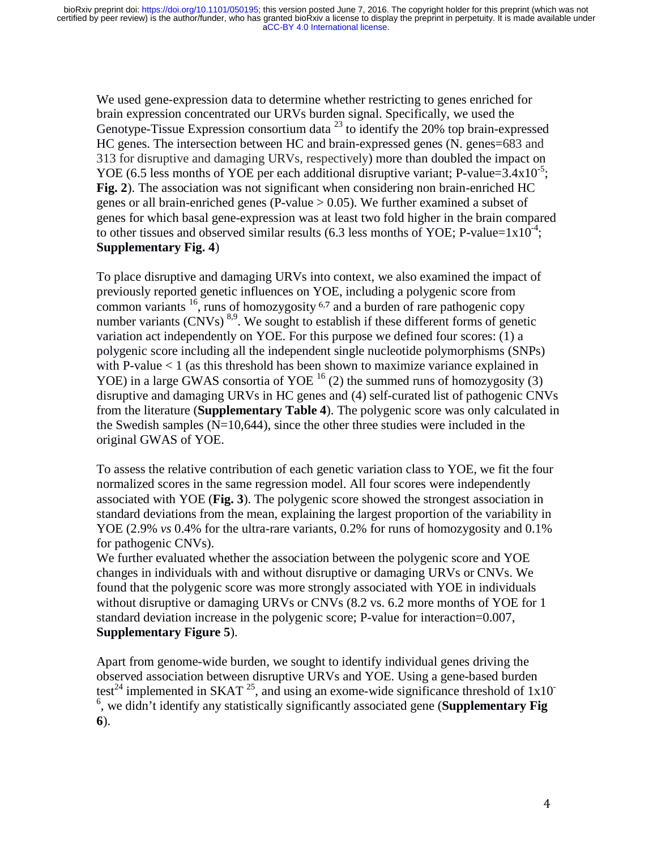We used gene-expression data to determine whether restricting to genes enriched for brain expression concentrated our URVs burden signal. Specifically, we used the Genotype-Tissue Expression consortium data<sup>23</sup> to identify the 20% top brain-expressed HC genes. The intersection between HC and brain-expressed genes (N. genes=683 and 313 for disruptive and damaging URVs, respectively) more than doubled the impact on YOE (6.5 less months of YOE per each additional disruptive variant; P-value= $3.4x10^{-5}$ ; **Fig. 2**). The association was not significant when considering non brain-enriched HC genes or all brain-enriched genes (P-value  $> 0.05$ ). We further examined a subset of genes for which basal gene-expression was at least two fold higher in the brain compared to other tissues and observed similar results (6.3 less months of YOE; P-value= $1x10^{-4}$ ; **Supplementary Fig. 4**)

To place disruptive and damaging URVs into context, we also examined the impact of previously reported genetic influences on YOE, including a polygenic score from common variants  $^{16}$ , runs of homozygosity  $^{6,7}$  and a burden of rare pathogenic copy<br>number variants (CNVs)  $^{8,9}$  We sought to establish if these different forms of genet number variants  $(CNVs)^{8,9}$ . We sought to establish if these different forms of genetic variation act independently on YOF. For this purpose we defined four scores: (1) a variation act independently on YOE. For this purpose we defined four scores: (1) a polygenic score including all the independent single nucleotide polymorphisms (SNPs) with P-value < 1 (as this threshold has been shown to maximize variance explained in YOE) in a large GWAS consortia of YOE  $^{16}$  (2) the summed runs of homozygosity (3) disruptive and damaging URVs in HC genes and (4) self-curated list of pathogenic CNVs from the literature (**Supplementary Table 4**). The polygenic score was only calculated in the Swedish samples  $(N=10,644)$ , since the other three studies were included in the original GWAS of YOE.

To assess the relative contribution of each genetic variation class to YOE, we fit the four normalized scores in the same regression model. All four scores were independently associated with YOE (**Fig. 3**). The polygenic score showed the strongest association in standard deviations from the mean, explaining the largest proportion of the variability in YOE (2.9% *vs* 0.4% for the ultra-rare variants, 0.2% for runs of homozygosity and 0.1% for pathogenic CNVs).

We further evaluated whether the association between the polygenic score and YOE changes in individuals with and without disruptive or damaging URVs or CNVs. We found that the polygenic score was more strongly associated with YOE in individuals without disruptive or damaging URVs or CNVs (8.2 vs. 6.2 more months of YOE for 1 standard deviation increase in the polygenic score; P-value for interaction=0.007, **Supplementary Figure 5**).

Apart from genome-wide burden, we sought to identify individual genes driving the observed association between disruptive URVs and YOE. Using a gene-based burden test<sup>24</sup> implemented in SKAT <sup>25</sup>, and using an exome-wide significance threshold of  $1x10^-$ 6 , we didn't identify any statistically significantly associated gene (**Supplementary Fig 6**).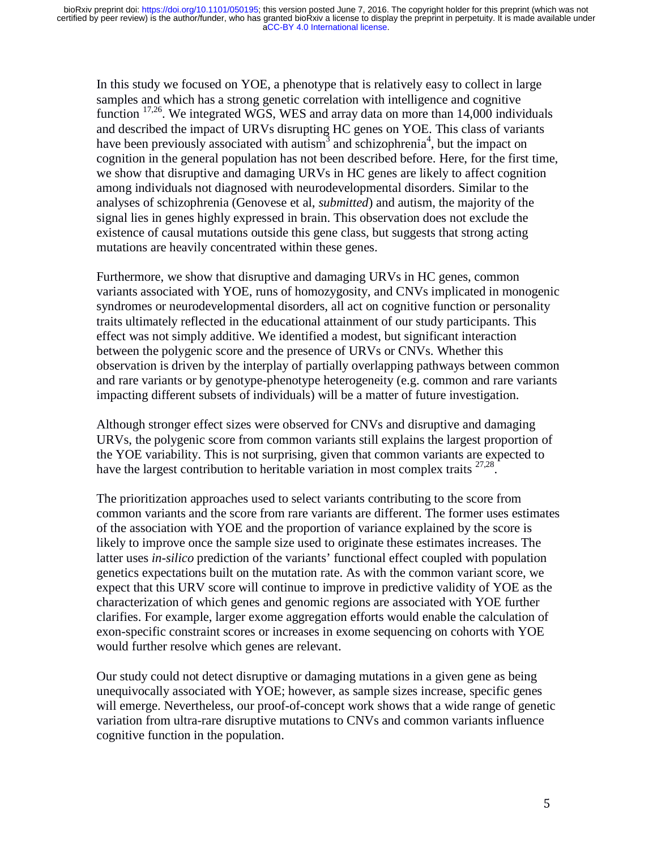In this study we focused on YOE, a phenotype that is relatively easy to collect in large samples and which has a strong genetic correlation with intelligence and cognitive function 17,26. We integrated WGS, WES and array data on more than 14,000 individuals and described the impact of URVs disrupting HC genes on YOE. This class of variants have been previously associated with autism<sup>3</sup> and schizophrenia<sup>4</sup>, but the impact on cognition in the general population has not been described before. Here, for the first time, we show that disruptive and damaging URVs in HC genes are likely to affect cognition among individuals not diagnosed with neurodevelopmental disorders. Similar to the analyses of schizophrenia (Genovese et al, *submitted*) and autism, the majority of the signal lies in genes highly expressed in brain. This observation does not exclude the existence of causal mutations outside this gene class, but suggests that strong acting mutations are heavily concentrated within these genes.

Furthermore, we show that disruptive and damaging URVs in HC genes, common variants associated with YOE, runs of homozygosity, and CNVs implicated in monogenic syndromes or neurodevelopmental disorders, all act on cognitive function or personality traits ultimately reflected in the educational attainment of our study participants. This effect was not simply additive. We identified a modest, but significant interaction between the polygenic score and the presence of URVs or CNVs. Whether this observation is driven by the interplay of partially overlapping pathways between common and rare variants or by genotype-phenotype heterogeneity (e.g. common and rare variants impacting different subsets of individuals) will be a matter of future investigation.

Although stronger effect sizes were observed for CNVs and disruptive and damaging URVs, the polygenic score from common variants still explains the largest proportion of the YOE variability. This is not surprising, given that common variants are expected to have the largest contribution to heritable variation in most complex traits  $27.28$ .

The prioritization approaches used to select variants contributing to the score from common variants and the score from rare variants are different. The former uses estimates of the association with YOE and the proportion of variance explained by the score is likely to improve once the sample size used to originate these estimates increases. The latter uses *in-silico* prediction of the variants' functional effect coupled with population genetics expectations built on the mutation rate. As with the common variant score, we expect that this URV score will continue to improve in predictive validity of YOE as the characterization of which genes and genomic regions are associated with YOE further clarifies. For example, larger exome aggregation efforts would enable the calculation of exon-specific constraint scores or increases in exome sequencing on cohorts with YOE would further resolve which genes are relevant.

Our study could not detect disruptive or damaging mutations in a given gene as being unequivocally associated with YOE; however, as sample sizes increase, specific genes will emerge. Nevertheless, our proof-of-concept work shows that a wide range of genetic variation from ultra-rare disruptive mutations to CNVs and common variants influence cognitive function in the population.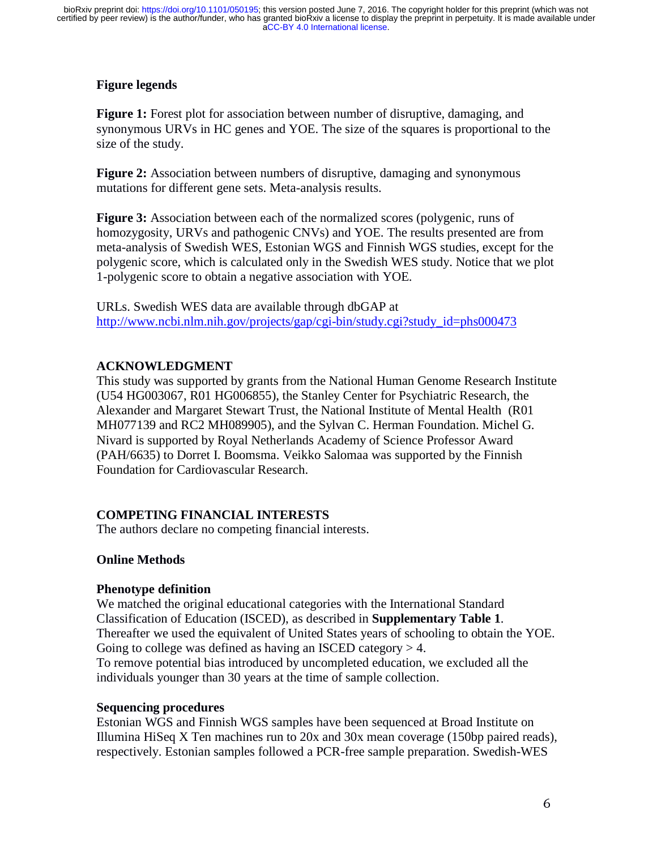# **Figure legends**

**Figure 1:** Forest plot for association between number of disruptive, damaging, and synonymous URVs in HC genes and YOE. The size of the squares is proportional to the size of the study.

**Figure 2:** Association between numbers of disruptive, damaging and synonymous mutations for different gene sets. Meta-analysis results.

**Figure 3:** Association between each of the normalized scores (polygenic, runs of homozygosity, URVs and pathogenic CNVs) and YOE. The results presented are from meta-analysis of Swedish WES, Estonian WGS and Finnish WGS studies, except for the polygenic score, which is calculated only in the Swedish WES study. Notice that we plot 1-polygenic score to obtain a negative association with YOE.

URLs. Swedish WES data are available through dbGAP at<br>http://www.nchi.nlm.nih.gov/projects/gap/cgi-hin/study.cgi http://www.ncbi.nlm.nih.gov/projects/gap/cgi-bin/study.cgi?study\_id=phs000473

# **ACKNOWLEDGMENT**<br>This study was supported b

This study was supported by grants from the National Human Genome Research Institute (U54 HG003067, R01 HG006855), the Stanley Center for Psychiatric Research, the Alexander and Margaret Stewart Trust, the National Institute of Mental Health (R01 MH077139 and RC2 MH089905), and the Sylvan C. Herman Foundation. Michel G. Nivard is supported by Royal Netherlands Academy of Science Professor Award (PAH/6635) to Dorret I. Boomsma. Veikko Salomaa was supported by the Finnish Foundation for Cardiovascular Research.

# **COMPETING FINANCIAL INTERESTS**

The authors declare no competing financial interests.

# **Online Methods**

## **Phenotype definition**

We matched the original educational categories with the International Standard Classification of Education (ISCED), as described in **Supplementary Table 1**. Thereafter we used the equivalent of United States years of schooling to obtain the YOE. Going to college was defined as having an ISCED category  $> 4$ . To remove potential bias introduced by uncompleted education, we excluded all the individuals younger than 30 years at the time of sample collection.

## **Sequencing procedures**

Estonian WGS and Finnish WGS samples have been sequenced at Broad Institute on Illumina HiSeq X Ten machines run to 20x and 30x mean coverage (150bp paired reads), respectively. Estonian samples followed a PCR-free sample preparation. Swedish-WES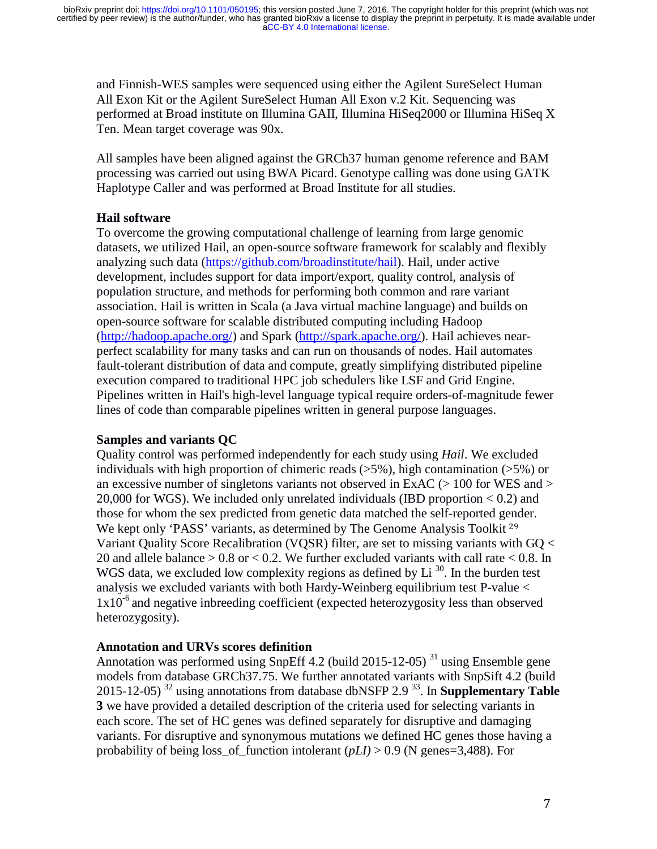and Finnish-WES samples were sequenced using either the Agilent SureSelect Human All Exon Kit or the Agilent SureSelect Human All Exon v.2 Kit. Sequencing was performed at Broad institute on Illumina GAII, Illumina HiSeq2000 or Illumina HiSeq X Ten. Mean target coverage was 90x.

All samples have been aligned against the GRCh37 human genome reference and BAM processing was carried out using BWA Picard. Genotype calling was done using GATK Haplotype Caller and was performed at Broad Institute for all studies.

# **Hail software**

To overcome the growing computational challenge of learning from large genomic datasets, we utilized Hail, an open-source software framework for scalably and flexibly analyzing such data (https://github.com/broadinstitute/hail). Hail, under active development, includes support for data import/export, quality control, analysis of population structure, and methods for performing both common and rare variant association. Hail is written in Scala (a Java virtual machine language) and builds on open-source software for scalable distributed computing including Hadoop (http://hadoop.apache.org/) and Spark (http://spark.apache.org/). Hail achieves nearperfect scalability for many tasks and can run on thousands of nodes. Hail automates fault-tolerant distribution of data and compute, greatly simplifying distributed pipeline execution compared to traditional HPC job schedulers like LSF and Grid Engine. Pipelines written in Hail's high-level language typical require orders-of-magnitude fewer lines of code than comparable pipelines written in general purpose languages.

# **Samples and variants QC**

Quality control was performed independently for each study using *Hail*. We excluded individuals with high proportion of chimeric reads  $(55\%)$ , high contamination  $(5\%)$  or an excessive number of singletons variants not observed in ExAC ( $> 100$  for WES and  $>$ 20,000 for WGS). We included only unrelated individuals (IBD proportion < 0.2) and those for whom the sex predicted from genetic data matched the self-reported gender. We kept only 'PASS' variants, as determined by The Genome Analysis Toolkit <sup>29</sup><br>Variant Quality Score Recalibration (VOSR) filter, are set to missing variants with Variant Quality Score Recalibration (VQSR) filter, are set to missing variants with GQ < 20 and allele balance  $> 0.8$  or  $< 0.2$ . We further excluded variants with call rate  $< 0.8$ . In WGS data, we excluded low complexity regions as defined by  $Li^{30}$ . In the burden test analysis we excluded variants with both Hardy-Weinberg equilibrium test P-value <  $1x10^{-6}$  and negative inbreeding coefficient (expected heterozygosity less than observed heterozygosity).

# **Annotation and URVs scores definition**

Annotation was performed using SnpEff 4.2 (build 2015-12-05)<sup>31</sup> using Ensemble gene models from database GRCh37.75. We further annotated variants with SnpSift 4.2 (build 2015-12-05) 32 using annotations from database dbNSFP 2.9 33. In **Supplementary Table 3** we have provided a detailed description of the criteria used for selecting variants in each score. The set of HC genes was defined separately for disruptive and damaging variants. For disruptive and synonymous mutations we defined HC genes those having a probability of being loss\_of\_function intolerant (*pLI)* > 0.9 (N genes=3,488). For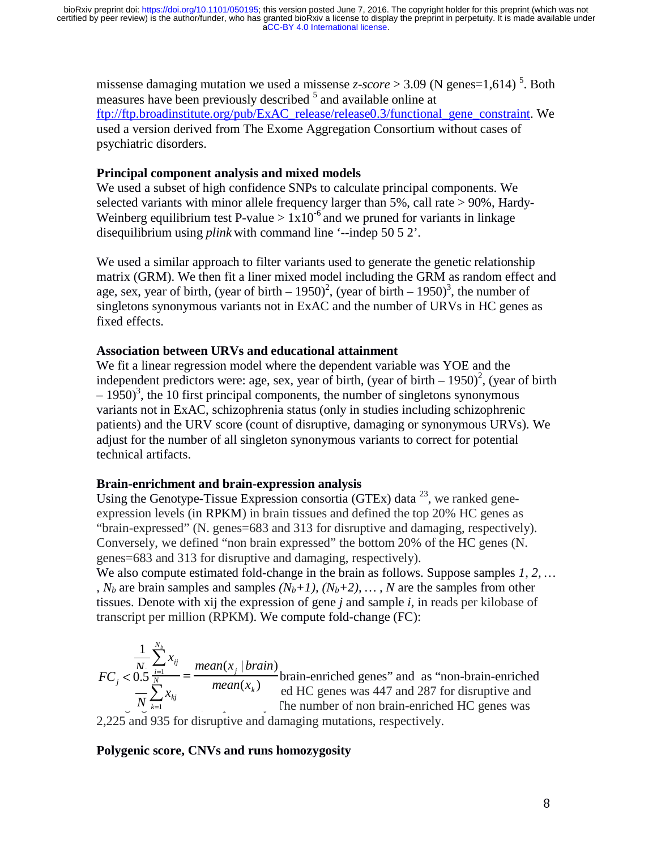missense damaging mutation we used a missense  $z\text{-}score > 3.09$  (N genes=1,614)<sup>5</sup>. Both measures have been previously described <sup>5</sup> and available online at ftp://ftp.broadinstitute.org/pub/ExAC\_release/release0.3/functional\_gene\_constraint. We used a version derived from The Exome Aggregation Consortium without cases of psychiatric disorders.

#### **Principal component analysis and mixed models**

We used a subset of high confidence SNPs to calculate principal components. We selected variants with minor allele frequency larger than 5%, call rate > 90%, Hardy-Weinberg equilibrium test P-value  $> 1x10^{-6}$  and we pruned for variants in linkage disequilibrium using *plink* with command line '--indep 50 5 2'.

We used a similar approach to filter variants used to generate the genetic relationship matrix (GRM). We then fit a liner mixed model including the GRM as random effect and age, sex, year of birth, (year of birth  $-1950$ )<sup>2</sup>, (year of birth  $-1950$ )<sup>3</sup>, the number of singletons synonymous variants not in ExAC and the number of URVs in HC genes as fixed effects.

#### **Association between URVs and educational attainment**

We fit a linear regression model where the dependent variable was YOE and the independent predictors were: age, sex, year of birth, (year of birth  $-1950)^2$ , (year of birth  $-1950$ <sup>3</sup>, the 10 first principal components, the number of singletons synonymous variants not in ExAC, schizophrenia status (only in studies including schizophrenic patients) and the URV score (count of disruptive, damaging or synonymous URVs). We adjust for the number of all singleton synonymous variants to correct for potential technical artifacts.

#### **Brain-enrichment and brain-expression analysis**

Using the Genotype-Tissue Expression consortia (GTEx) data  $^{23}$ , we ranked geneexpression levels (in RPKM) in brain tissues and defined the top 20% HC genes as "brain-expressed" (N. genes=683 and 313 for disruptive and damaging, respectively). Conversely, we defined "non brain expressed" the bottom 20% of the HC genes (N. genes=683 and 313 for disruptive and damaging, respectively).

We also compute estimated fold-change in the brain as follows. Suppose samples *1, 2, … , N<sub>b</sub>* are brain samples and samples  $(N_b+1)$ ,  $(N_b+2)$ , ..., N are the samples from other tissues. Denote with xij the expression of gene *j* and sample *i*, in reads per kilobase of transcript per million (RPKM). We compute fold-change (FC):

$$
FC_j < 0.5 \frac{\frac{1}{N} \sum_{i=1}^{N_b} x_{ij}}{\frac{1}{N} \sum_{k=1}^{N_b} x_{kj}} = \frac{mean(x_j \mid brain\text{-enriched genes" and as "non-brain-enriched ed HC genes was 447 and 287 for disruptive and The number of non brain-enriched HC genes was 2,225 and 935 for disruptive and damaging mutations, respectively.}
$$

## **Polygenic score, CNVs and runs homozygosity**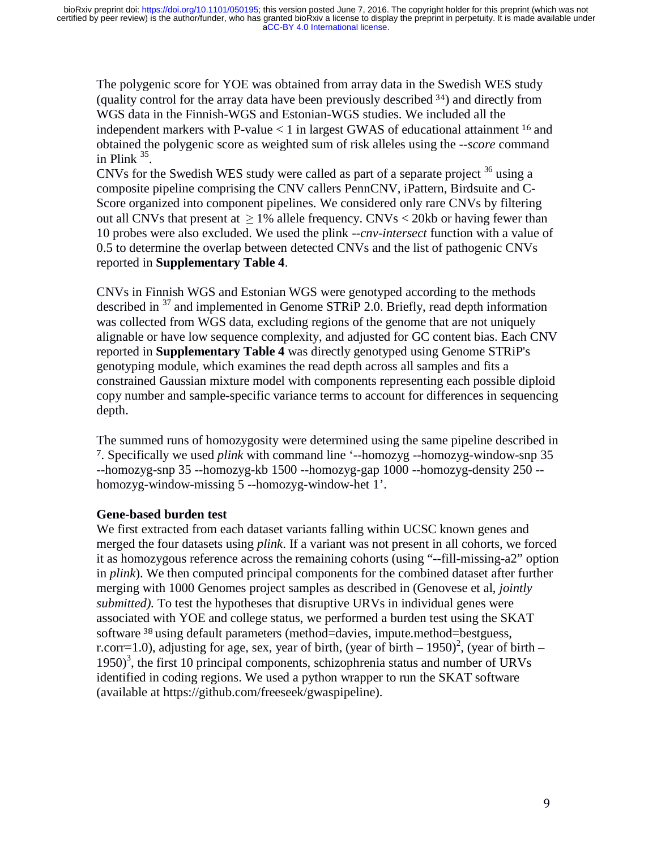The polygenic score for YOE was obtained from array data in the Swedish WES study (quality control for the array data have been previously described  $34$ ) and directly from WGS data in the Finnish-WGS and Estonian-WGS studies. We included all the WGS data in the Finnish-WGS and Estonian-WGS studies. We included all the independent markers with P-value  $\lt 1$  in largest GWAS of educational attainment <sup>16</sup> and<br>obtained the polygenic score as weighted sum of risk alleles using the **-**-*score* command obtained the polygenic score as weighted sum of risk alleles using the --*score* command in Plink  $35$ .

CNVs for the Swedish WES study were called as part of a separate project  $36$  using a composite pipeline comprising the CNV callers PennCNV, iPattern, Birdsuite and C-Score organized into component pipelines. We considered only rare CNVs by filtering out all CNVs that present at  $\geq 1\%$  allele frequency. CNVs < 20kb or having fewer than 10 probes were also excluded. We used the plink --*cnv-intersect* function with a value of 0.5 to determine the overlap between detected CNVs and the list of pathogenic CNVs reported in **Supplementary Table 4**.

CNVs in Finnish WGS and Estonian WGS were genotyped according to the methods described in <sup>37</sup> and implemented in Genome STRiP 2.0. Briefly, read depth information was collected from WGS data, excluding regions of the genome that are not uniquely alignable or have low sequence complexity, and adjusted for GC content bias. Each CNV reported in **Supplementary Table 4** was directly genotyped using Genome STRiP's genotyping module, which examines the read depth across all samples and fits a constrained Gaussian mixture model with components representing each possible diploid copy number and sample-specific variance terms to account for differences in sequencing depth.

The summed runs of homozygosity were determined using the same pipeline described in 7. Specifically we used *plink* with command line '--homozyg --homozyg-window-snp 35 --homozyg-snp 35 --homozyg-kb 1500 --homozyg-gap 1000 --homozyg-density 250 - homozyg-window-missing 5 --homozyg-window-het 1'.

## **Gene-based burden test**

We first extracted from each dataset variants falling within UCSC known genes and merged the four datasets using *plink*. If a variant was not present in all cohorts, we forced it as homozygous reference across the remaining cohorts (using "--fill-missing-a2" option in *plink*). We then computed principal components for the combined dataset after further merging with 1000 Genomes project samples as described in (Genovese et al, *jointly submitted).* To test the hypotheses that disruptive URVs in individual genes were associated with YOE and college status, we performed a burden test using the SKAT software <sup>38</sup> using default parameters (method=davies, impute.method=bestguess, r corr = 1.0) adjusting for age sex vear of birth (vear of birth = 1950)<sup>2</sup> (vear of b r.corr=1.0), adjusting for age, sex, year of birth, (year of birth – 1950)<sup>2</sup>, (year of birth – 1950)<sup>3</sup>, the first 10 principal components, schizophrenia status and number of URVs identified in coding regions. We used a python wrapper to run the SKAT software (available at https://github.com/freeseek/gwaspipeline).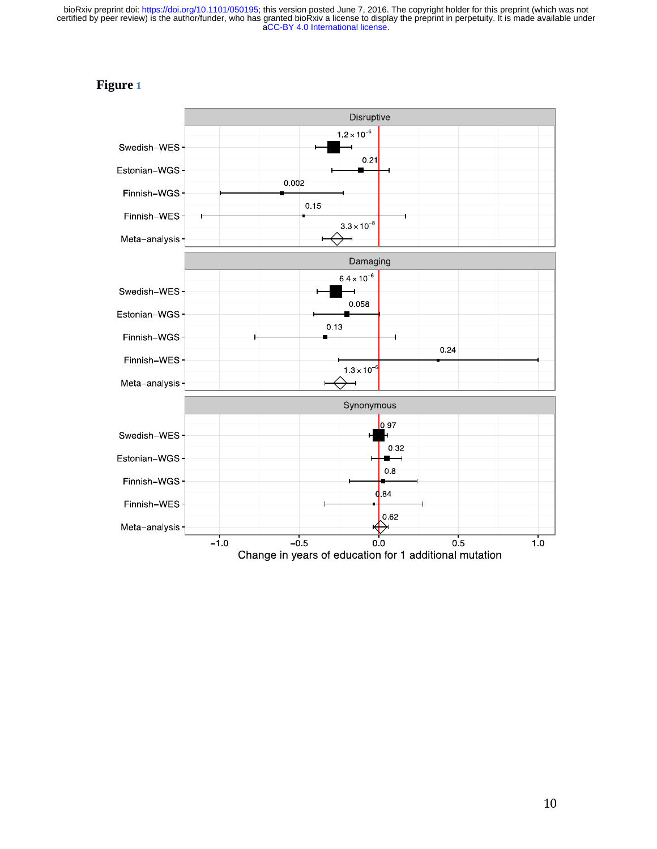[aCC-BY 4.0 International license.](http://creativecommons.org/licenses/by/4.0/) certified by peer review) is the author/funder, who has granted bioRxiv a license to display the preprint in perpetuity. It is made available under bioRxiv preprint doi: [https://doi.org/10.1101/050195;](https://doi.org/10.1101/050195) this version posted June 7, 2016. The copyright holder for this preprint (which was not

# **Figure** <sup>1</sup>

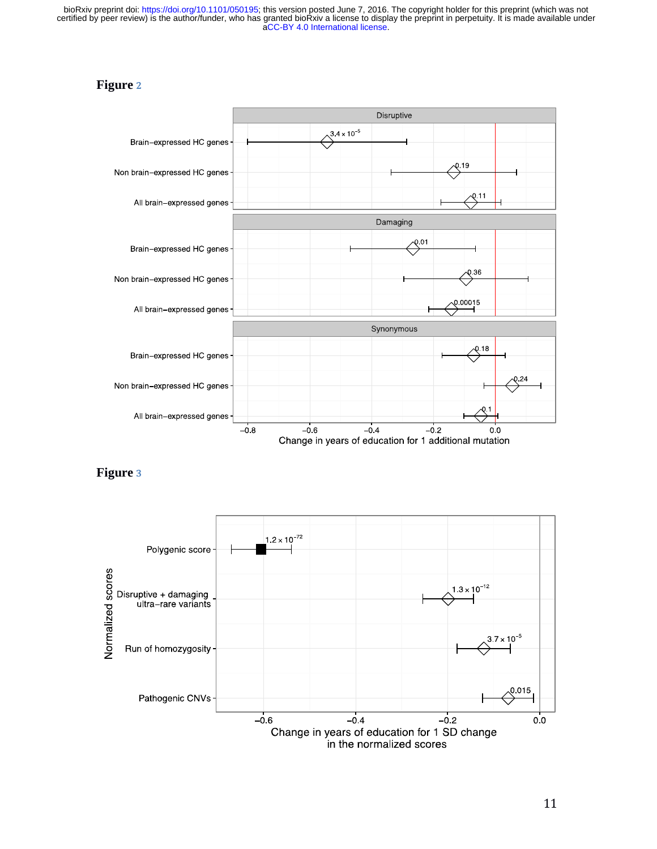[aCC-BY 4.0 International license.](http://creativecommons.org/licenses/by/4.0/) certified by peer review) is the author/funder, who has granted bioRxiv a license to display the preprint in perpetuity. It is made available under bioRxiv preprint doi: [https://doi.org/10.1101/050195;](https://doi.org/10.1101/050195) this version posted June 7, 2016. The copyright holder for this preprint (which was not

# **Figure** <sup>2</sup>



**Figure** <sup>3</sup>



111 - Andrew Maria (1911), a che alla contratta della contratta della contratta della contratta della contratt<br>111 - Andrew Maria (1911), a che alla contratta della contratta della contratta della contratta della contratt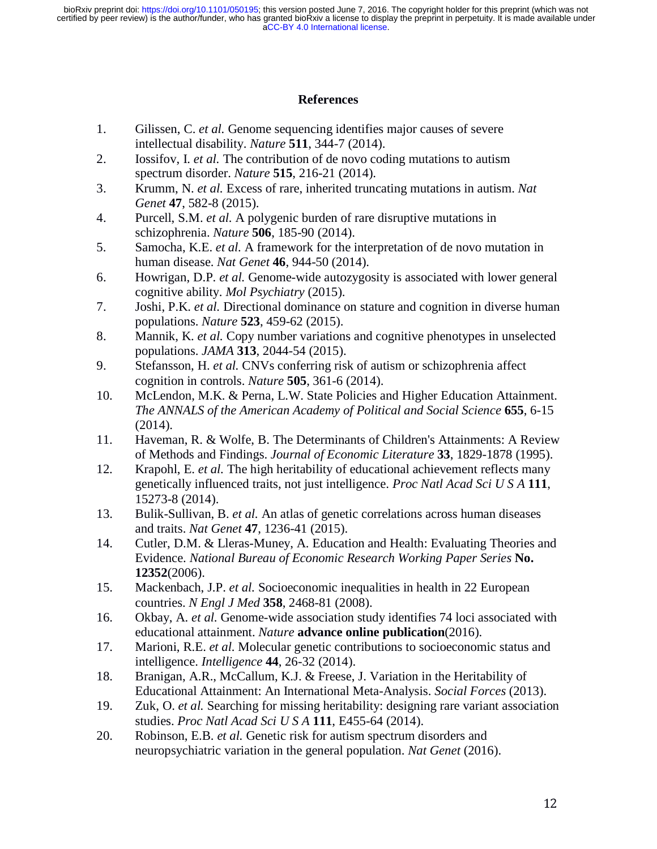[aCC-BY 4.0 International license.](http://creativecommons.org/licenses/by/4.0/) certified by peer review) is the author/funder, who has granted bioRxiv a license to display the preprint in perpetuity. It is made available under bioRxiv preprint doi: [https://doi.org/10.1101/050195;](https://doi.org/10.1101/050195) this version posted June 7, 2016. The copyright holder for this preprint (which was not

#### **References**

- 1. Gilissen, C. *et al.* Genome sequencing identifies major causes of severe intellectual disability. *Nature* **511**, 344-7 (2014).
- 2. Iossifov, I. *et al.* The contribution of de novo coding mutations to autism spectrum disorder. *Nature* **515**, 216-21 (2014).
- 3. Krumm, N. *et al.* Excess of rare, inherited truncating mutations in autism. *Nat Genet* **47**, 582-8 (2015).
- 4. Purcell, S.M. *et al.* A polygenic burden of rare disruptive mutations in schizophrenia. *Nature* **506**, 185-90 (2014).
- 5. Samocha, K.E. *et al.* A framework for the interpretation of de novo mutation in human disease. *Nat Genet* **46**, 944-50 (2014).
- 6. Howrigan, D.P. *et al.* Genome-wide autozygosity is associated with lower general cognitive ability. *Mol Psychiatry* (2015).
- 7. Joshi, P.K. *et al.* Directional dominance on stature and cognition in diverse human populations. *Nature* **523**, 459-62 (2015).
- 8. Mannik, K. *et al.* Copy number variations and cognitive phenotypes in unselected populations. *JAMA* **313**, 2044-54 (2015).
- 9. Stefansson, H. *et al.* CNVs conferring risk of autism or schizophrenia affect cognition in controls. *Nature* **505**, 361-6 (2014).
- 10. McLendon, M.K. & Perna, L.W. State Policies and Higher Education Attainment. *The ANNALS of the American Academy of Political and Social Science* **655**, 6-15 (2014).
- 11. Haveman, R. & Wolfe, B. The Determinants of Children's Attainments: A Review of Methods and Findings. *Journal of Economic Literature* **33**, 1829-1878 (1995).
- 12. Krapohl, E. *et al.* The high heritability of educational achievement reflects many genetically influenced traits, not just intelligence. *Proc Natl Acad Sci U S A* **111**, 15273-8 (2014).
- 13. Bulik-Sullivan, B. *et al.* An atlas of genetic correlations across human diseases and traits. *Nat Genet* **47**, 1236-41 (2015).
- 14. Cutler, D.M. & Lleras-Muney, A. Education and Health: Evaluating Theories and Evidence. *National Bureau of Economic Research Working Paper Series* **No. 12352**(2006).
- 15. Mackenbach, J.P. *et al.* Socioeconomic inequalities in health in 22 European countries. *N Engl J Med* **358**, 2468-81 (2008).
- 16. Okbay, A. *et al.* Genome-wide association study identifies 74 loci associated with educational attainment. *Nature* **advance online publication**(2016).
- 17. Marioni, R.E. *et al.* Molecular genetic contributions to socioeconomic status and intelligence. *Intelligence* **44**, 26-32 (2014).
- 18. Branigan, A.R., McCallum, K.J. & Freese, J. Variation in the Heritability of Educational Attainment: An International Meta-Analysis. *Social Forces* (2013).
- 19. Zuk, O. *et al.* Searching for missing heritability: designing rare variant association studies. *Proc Natl Acad Sci U S A* **111**, E455-64 (2014).
- 20. Robinson, E.B. *et al.* Genetic risk for autism spectrum disorders and neuropsychiatric variation in the general population. *Nat Genet* (2016).